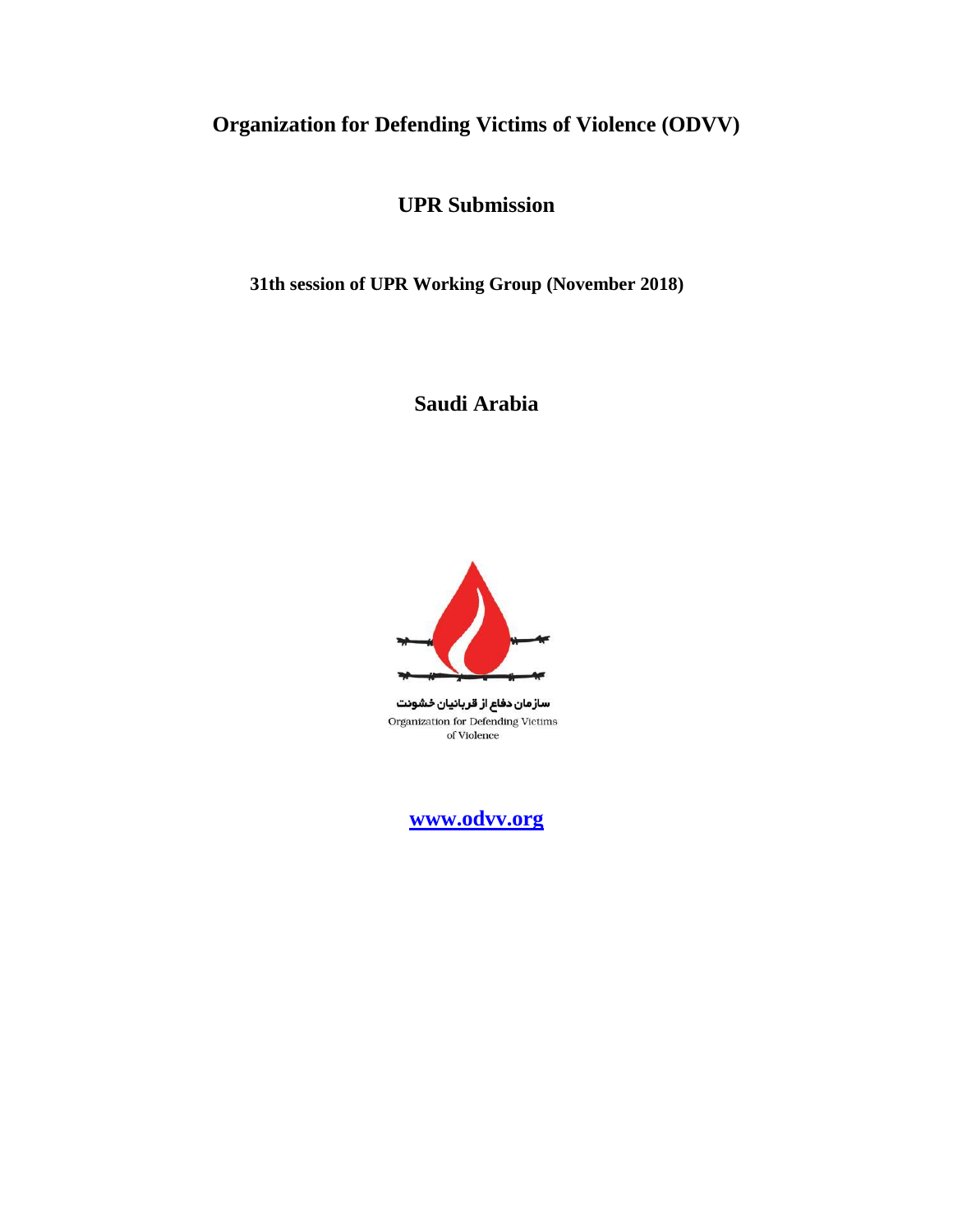# **Organization for Defending Victims of Violence (ODVV)**

**UPR Submission**

**31th session of UPR Working Group (November 2018)** 

**Saudi Arabia**



سازمان دفاع از قربانیان خشونت Organization for Defending Victims of Violence

**[www.odvv.org](http://www.odvv.org/)**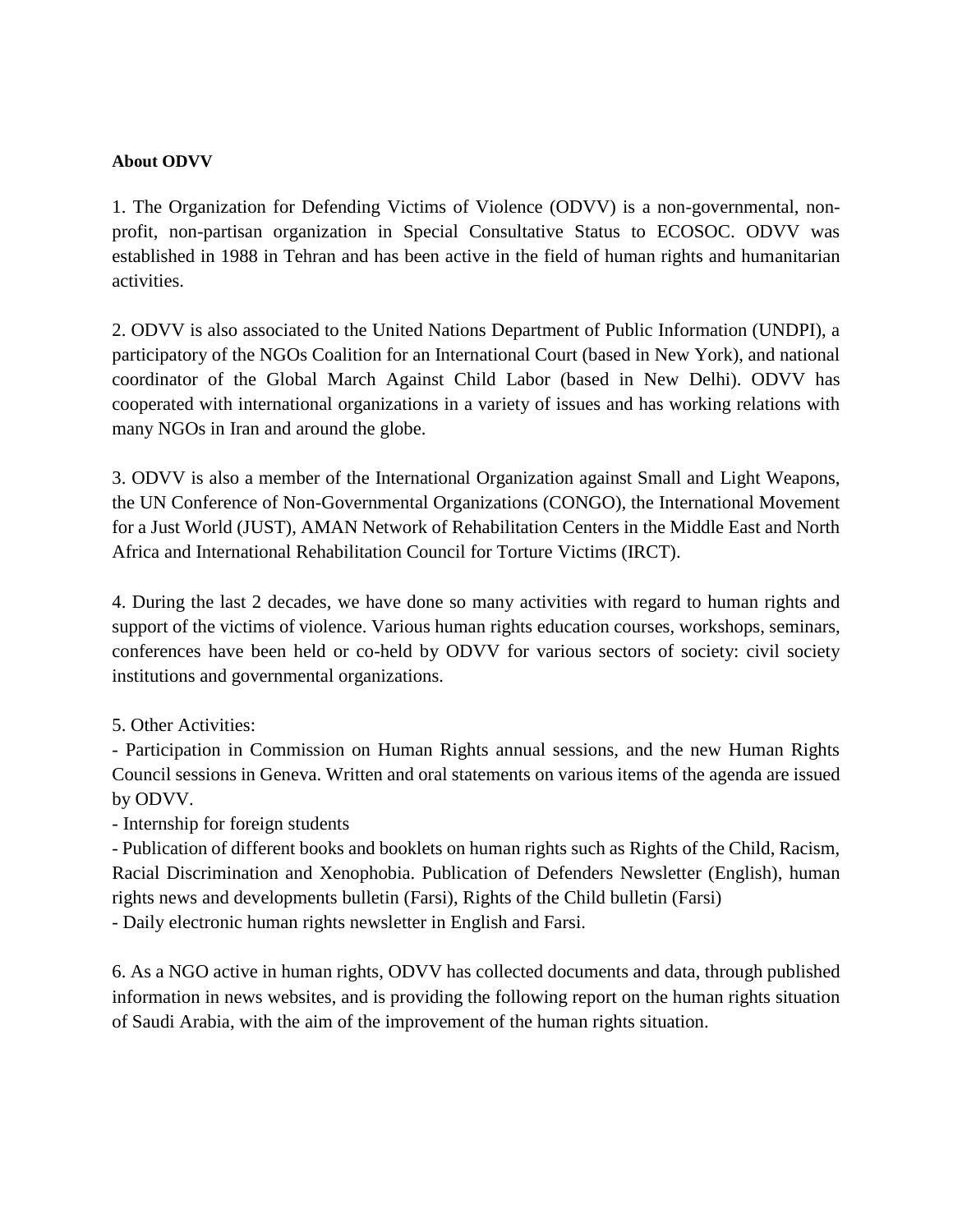#### **About ODVV**

1. The Organization for Defending Victims of Violence (ODVV) is a non-governmental, nonprofit, non-partisan organization in Special Consultative Status to ECOSOC. ODVV was established in 1988 in Tehran and has been active in the field of human rights and humanitarian activities.

2. ODVV is also associated to the United Nations Department of Public Information (UNDPI), a participatory of the NGOs Coalition for an International Court (based in New York), and national coordinator of the Global March Against Child Labor (based in New Delhi). ODVV has cooperated with international organizations in a variety of issues and has working relations with many NGOs in Iran and around the globe.

3. ODVV is also a member of the International Organization against Small and Light Weapons, the UN Conference of Non-Governmental Organizations (CONGO), the International Movement for a Just World (JUST), AMAN Network of Rehabilitation Centers in the Middle East and North Africa and International Rehabilitation Council for Torture Victims (IRCT).

4. During the last 2 decades, we have done so many activities with regard to human rights and support of the victims of violence. Various human rights education courses, workshops, seminars, conferences have been held or co-held by ODVV for various sectors of society: civil society institutions and governmental organizations.

5. Other Activities:

- Participation in Commission on Human Rights annual sessions, and the new Human Rights Council sessions in Geneva. Written and oral statements on various items of the agenda are issued by ODVV.

- Internship for foreign students

- Publication of different books and booklets on human rights such as Rights of the Child, Racism, Racial Discrimination and Xenophobia. Publication of Defenders Newsletter (English), human rights news and developments bulletin (Farsi), Rights of the Child bulletin (Farsi)

- Daily electronic human rights newsletter in English and Farsi.

6. As a NGO active in human rights, ODVV has collected documents and data, through published information in news websites, and is providing the following report on the human rights situation of Saudi Arabia, with the aim of the improvement of the human rights situation.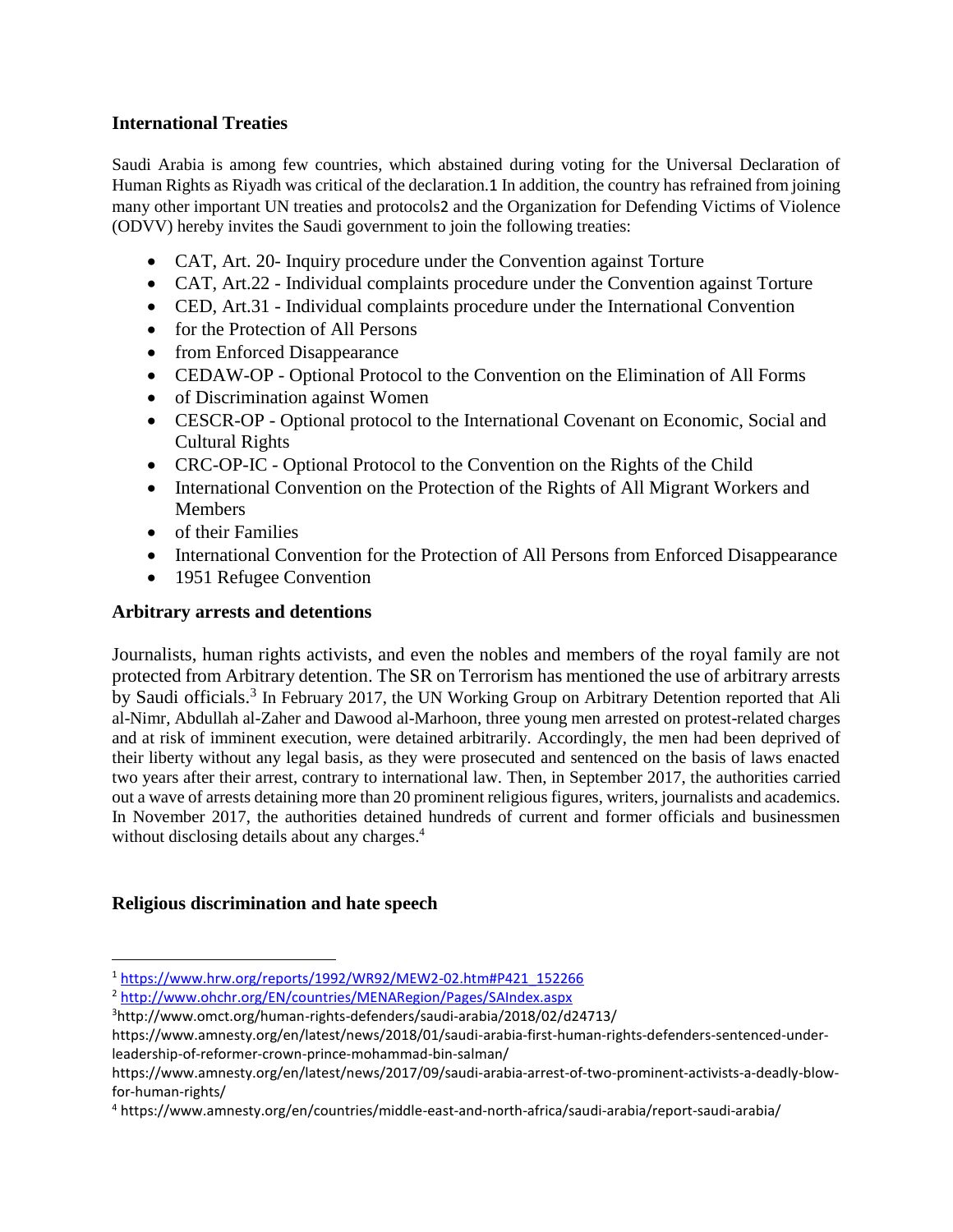## **International Treaties**

Saudi Arabia is among few countries, which abstained during voting for the Universal Declaration of Human Rights as Riyadh was critical of the declaration.1 In addition, the country has refrained from joining many other important UN treaties and protocols2 and the Organization for Defending Victims of Violence (ODVV) hereby invites the Saudi government to join the following treaties:

- CAT, Art. 20- Inquiry procedure under the Convention against Torture
- CAT, Art.22 Individual complaints procedure under the Convention against Torture
- CED, Art.31 Individual complaints procedure under the International Convention
- for the Protection of All Persons
- from Enforced Disappearance
- CEDAW-OP Optional Protocol to the Convention on the Elimination of All Forms
- of Discrimination against Women
- CESCR-OP Optional protocol to the International Covenant on Economic, Social and Cultural Rights
- CRC-OP-IC Optional Protocol to the Convention on the Rights of the Child
- International Convention on the Protection of the Rights of All Migrant Workers and **Members**
- of their Families
- International Convention for the Protection of All Persons from Enforced Disappearance
- 1951 Refugee Convention

# **Arbitrary arrests and detentions**

Journalists, human rights activists, and even the nobles and members of the royal family are not protected from Arbitrary detention. The SR on Terrorism has mentioned the use of arbitrary arrests by Saudi officials.<sup>3</sup> In February 2017, the UN Working Group on Arbitrary Detention reported that Ali al-Nimr, Abdullah al-Zaher and Dawood al-Marhoon, three young men arrested on protest-related charges and at risk of imminent execution, were detained arbitrarily. Accordingly, the men had been deprived of their liberty without any legal basis, as they were prosecuted and sentenced on the basis of laws enacted two years after their arrest, contrary to international law. Then, in September 2017, the authorities carried out a wave of arrests detaining more than 20 prominent religious figures, writers, journalists and academics. In November 2017, the authorities detained hundreds of current and former officials and businessmen without disclosing details about any charges.<sup>4</sup>

# **Religious discrimination and hate speech**

 $\overline{a}$ 

<sup>1</sup> [https://www.hrw.org/reports/1992/WR92/MEW2-02.htm#P421\\_152266](https://www.hrw.org/reports/1992/WR92/MEW2-02.htm#P421_152266)

<sup>2</sup> <http://www.ohchr.org/EN/countries/MENARegion/Pages/SAIndex.aspx>

<sup>3</sup><http://www.omct.org/human-rights-defenders/saudi-arabia/2018/02/d24713/>

[https://www.amnesty.org/en/latest/news/2018/01/saudi-arabia-first-human-rights-defenders-sentenced-under](https://www.amnesty.org/en/latest/news/2018/01/saudi-arabia-first-human-rights-defenders-sentenced-under-leadership-of-reformer-crown-prince-mohammad-bin-salman/)[leadership-of-reformer-crown-prince-mohammad-bin-salman/](https://www.amnesty.org/en/latest/news/2018/01/saudi-arabia-first-human-rights-defenders-sentenced-under-leadership-of-reformer-crown-prince-mohammad-bin-salman/)

[https://www.amnesty.org/en/latest/news/2017/09/saudi-arabia-arrest-of-two-prominent-activists-a-deadly-blow](https://www.amnesty.org/en/latest/news/2017/09/saudi-arabia-arrest-of-two-prominent-activists-a-deadly-blow-for-human-rights/)[for-human-rights/](https://www.amnesty.org/en/latest/news/2017/09/saudi-arabia-arrest-of-two-prominent-activists-a-deadly-blow-for-human-rights/)

<sup>4</sup> https://www.amnesty.org/en/countries/middle-east-and-north-africa/saudi-arabia/report-saudi-arabia/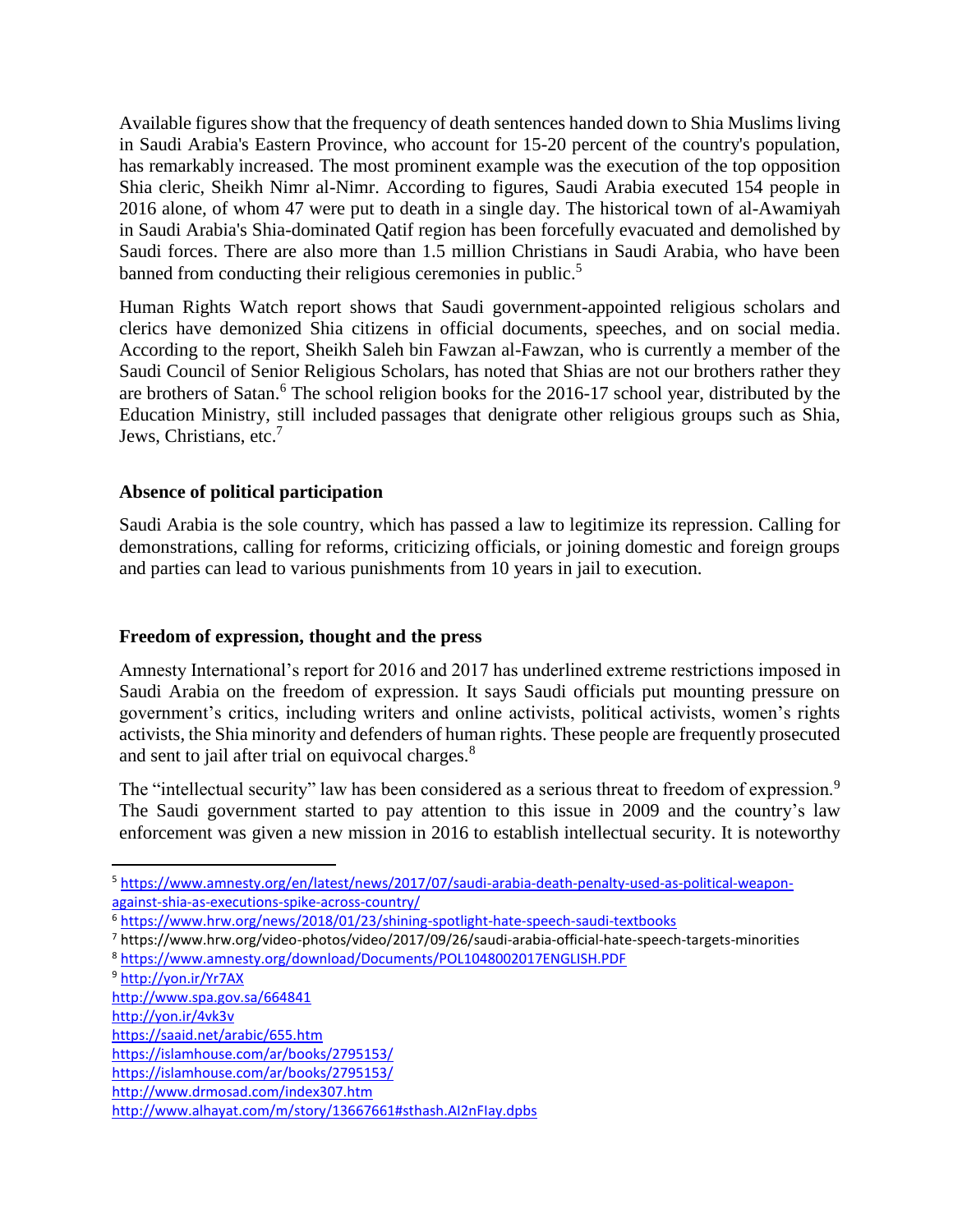Available figures show that the frequency of death sentences handed down to Shia Muslims living in Saudi Arabia's Eastern Province, who account for 15-20 percent of the country's population, has remarkably increased. The most prominent example was the execution of the top opposition Shia cleric, Sheikh Nimr al-Nimr. According to figures, Saudi Arabia executed 154 people in 2016 alone, of whom 47 were put to death in a single day. The historical town of al-Awamiyah in Saudi Arabia's Shia-dominated Qatif region has been forcefully evacuated and demolished by Saudi forces. There are also more than 1.5 million Christians in Saudi Arabia, who have been banned from conducting their religious ceremonies in public.<sup>5</sup>

Human Rights Watch report shows that Saudi government-appointed religious scholars and clerics have demonized Shia citizens in official documents, speeches, and on social media. According to the report, Sheikh Saleh bin Fawzan al-Fawzan, who is currently a member of the Saudi Council of Senior Religious Scholars, has noted that Shias are not our brothers rather they are brothers of Satan.<sup>6</sup> The school religion books for the 2016-17 school year, distributed by the Education Ministry, still included [passages that denigrate other religious groups](https://www.hrw.org/news/2017/09/13/saudi-arabia-religion-textbooks-promote-intolerance) such as Shia, Jews, Christians, etc.<sup>7</sup>

## **Absence of political participation**

Saudi Arabia is the sole country, which has passed a law to legitimize its repression. Calling for demonstrations, calling for reforms, criticizing officials, or joining domestic and foreign groups and parties can lead to various punishments from 10 years in jail to execution.

#### **Freedom of expression, thought and the press**

Amnesty International's report for 2016 and 2017 has underlined extreme restrictions imposed in Saudi Arabia on the freedom of expression. It says Saudi officials put mounting pressure on government's critics, including writers and online activists, political activists, women's rights activists, the Shia minority and defenders of human rights. These people are frequently prosecuted and sent to jail after trial on equivocal charges.<sup>8</sup>

The "intellectual security" law has been considered as a serious threat to freedom of expression.<sup>9</sup> The Saudi government started to pay attention to this issue in 2009 and the country's law enforcement was given a new mission in 2016 to establish intellectual security. It is noteworthy

 $\overline{\phantom{a}}$ 

<sup>5</sup> [https://www.amnesty.org/en/latest/news/2017/07/saudi-arabia-death-penalty-used-as-political-weapon](https://www.amnesty.org/en/latest/news/2017/07/saudi-arabia-death-penalty-used-as-political-weapon-against-shia-as-executions-spike-across-country/)[against-shia-as-executions-spike-across-country/](https://www.amnesty.org/en/latest/news/2017/07/saudi-arabia-death-penalty-used-as-political-weapon-against-shia-as-executions-spike-across-country/)

<sup>6</sup> <https://www.hrw.org/news/2018/01/23/shining-spotlight-hate-speech-saudi-textbooks>

<sup>7</sup> https://www.hrw.org/video-photos/video/2017/09/26/saudi-arabia-official-hate-speech-targets-minorities

<sup>8</sup> <https://www.amnesty.org/download/Documents/POL1048002017ENGLISH.PDF>

<sup>9</sup> <http://yon.ir/Yr7AX>

<http://www.spa.gov.sa/664841>

<http://yon.ir/4vk3v>

<https://saaid.net/arabic/655.htm>

<https://islamhouse.com/ar/books/2795153/>

<https://islamhouse.com/ar/books/2795153/>

<http://www.drmosad.com/index307.htm>

<http://www.alhayat.com/m/story/13667661#sthash.AI2nFIay.dpbs>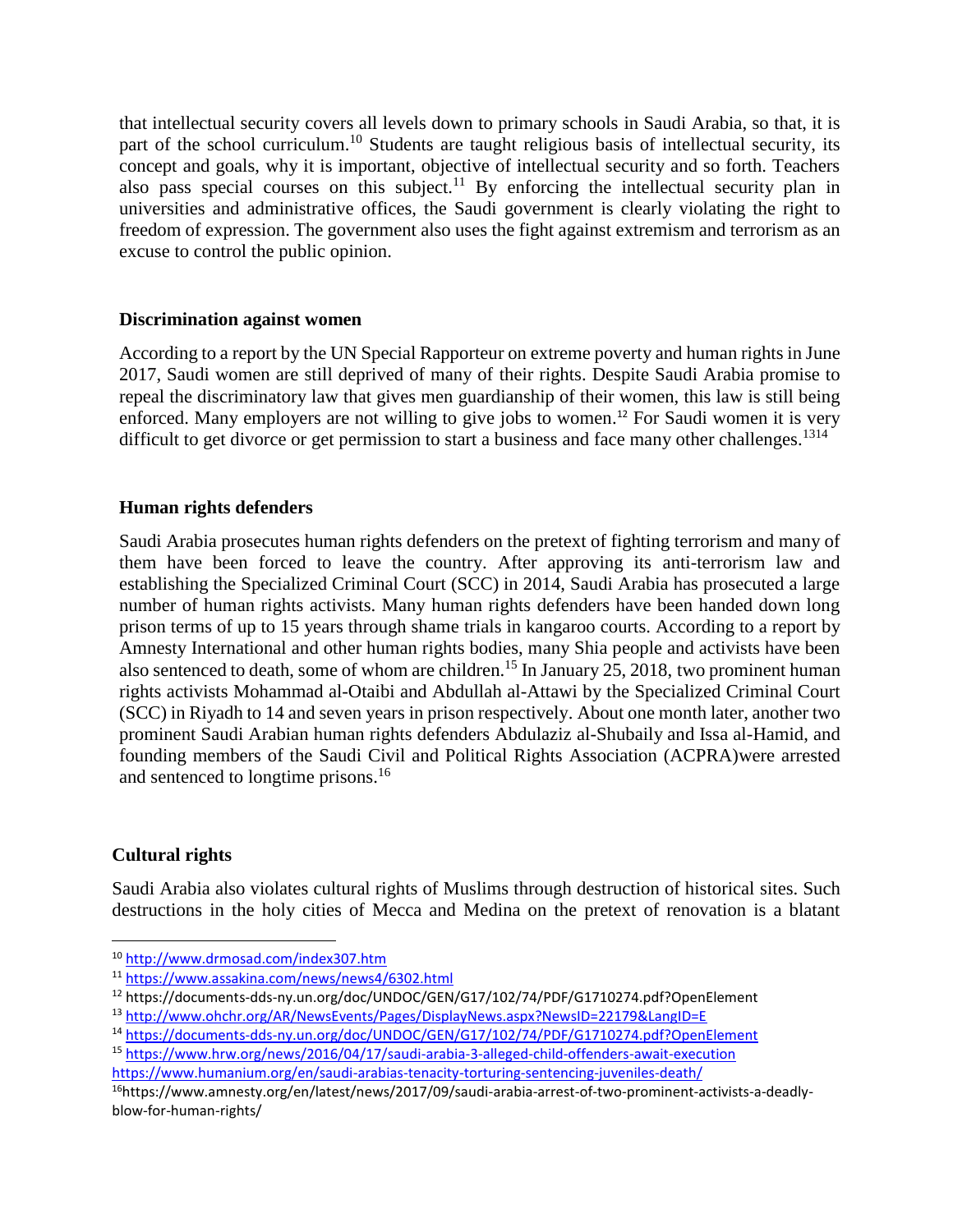that intellectual security covers all levels down to primary schools in Saudi Arabia, so that, it is part of the school curriculum.<sup>10</sup> Students are taught religious basis of intellectual security, its concept and goals, why it is important, objective of intellectual security and so forth. Teachers also pass special courses on this subject.<sup>11</sup> By enforcing the intellectual security plan in universities and administrative offices, the Saudi government is clearly violating the right to freedom of expression. The government also uses the fight against extremism and terrorism as an excuse to control the public opinion.

#### **Discrimination against women**

According to a report by the UN Special Rapporteur on extreme poverty and human rights in June 2017, Saudi women are still deprived of many of their rights. Despite Saudi Arabia promise to repeal the discriminatory law that gives men guardianship of their women, this law is still being enforced. Many employers are not willing to give jobs to women. <sup>12</sup> For Saudi women it is very difficult to get divorce or get permission to start a business and face many other challenges.<sup>1314</sup>

#### **Human rights defenders**

Saudi Arabia prosecutes human rights defenders on the pretext of fighting terrorism and many of them have been forced to leave the country. After approving its anti-terrorism law and establishing the Specialized Criminal Court (SCC) in 2014, Saudi Arabia has prosecuted a large number of human rights activists. Many human rights defenders have been handed down long prison terms of up to 15 years through shame trials in kangaroo courts. According to a report by Amnesty International and other human rights bodies, many Shia people and activists have been also sentenced to death, some of whom are children.<sup>15</sup> In January 25, 2018, two prominent human rights activists Mohammad al-Otaibi and Abdullah al-Attawi by the Specialized Criminal Court (SCC) in Riyadh to 14 and seven years in prison respectively. About one month later, another two prominent Saudi Arabian human rights defenders [Abdulaziz al-Shubaily](https://www.amnesty.org/en/documents/mde23/6940/2017/en/) and [Issa al-Hamid,](https://www.amnesty.org/en/documents/mde23/7039/2017/en/) and founding members of the Saudi Civil and Political Rights Association (ACPRA)were arrested and sentenced to longtime prisons.<sup>16</sup>

#### **Cultural rights**

 $\overline{\phantom{a}}$ 

Saudi Arabia also violates cultural rights of Muslims through destruction of historical sites. Such destructions in the holy cities of Mecca and Medina on the pretext of renovation is a blatant

<sup>10</sup> <http://www.drmosad.com/index307.htm>

<sup>11</sup> <https://www.assakina.com/news/news4/6302.html>

<sup>12</sup> https://documents-dds-ny.un.org/doc/UNDOC/GEN/G17/102/74/PDF/G1710274.pdf?OpenElement

<sup>13</sup> <http://www.ohchr.org/AR/NewsEvents/Pages/DisplayNews.aspx?NewsID=22179&LangID=E>

<sup>14</sup> <https://documents-dds-ny.un.org/doc/UNDOC/GEN/G17/102/74/PDF/G1710274.pdf?OpenElement>

<sup>15</sup> <https://www.hrw.org/news/2016/04/17/saudi-arabia-3-alleged-child-offenders-await-execution>

<https://www.humanium.org/en/saudi-arabias-tenacity-torturing-sentencing-juveniles-death/>

<sup>16</sup>https://www.amnesty.org/en/latest/news/2017/09/saudi-arabia-arrest-of-two-prominent-activists-a-deadlyblow-for-human-rights/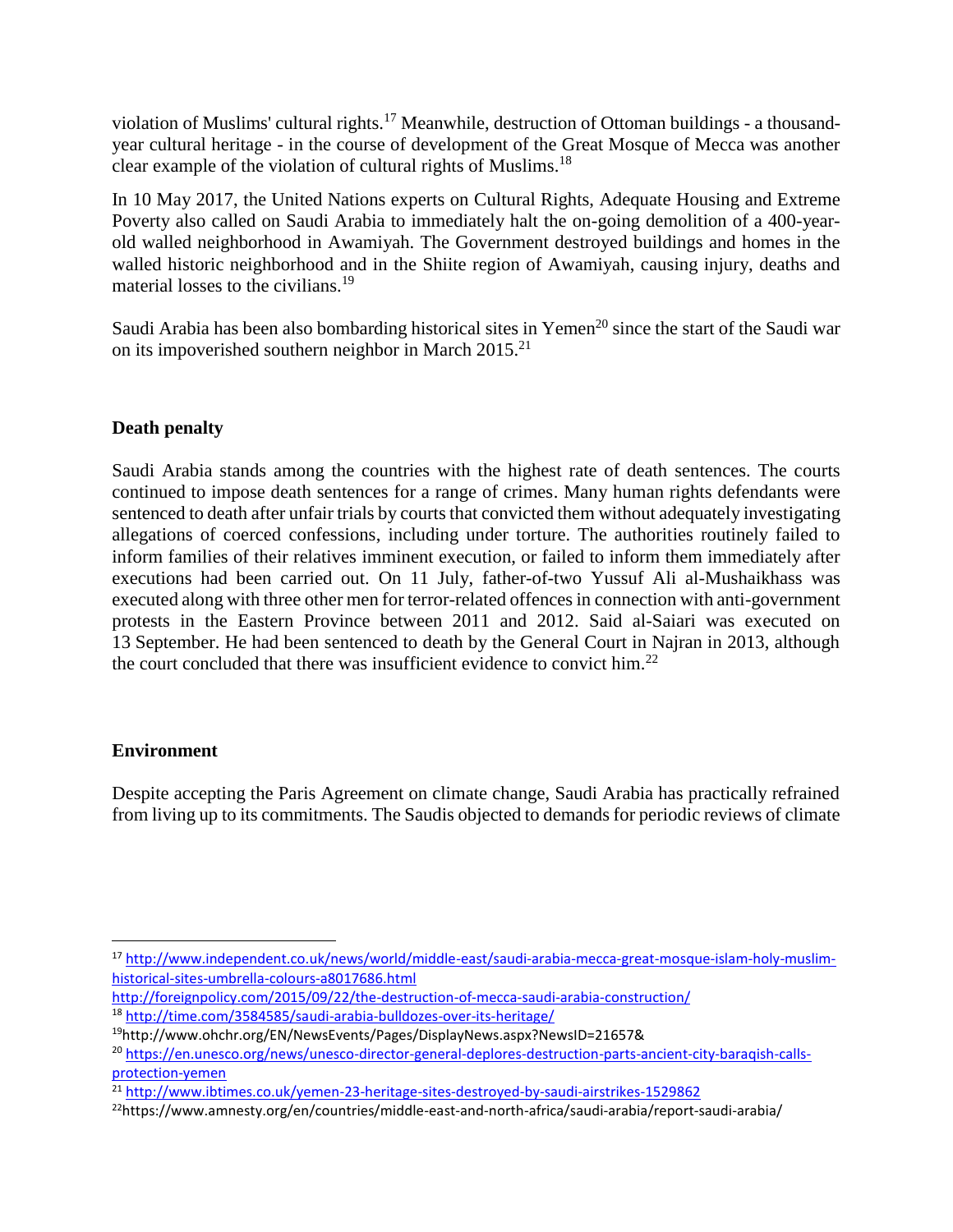violation of Muslims' cultural rights.<sup>17</sup> Meanwhile, destruction of Ottoman buildings - a thousandyear cultural heritage - in the course of development of the Great Mosque of Mecca was another clear example of the violation of cultural rights of Muslims.<sup>18</sup>

In 10 May 2017, the United Nations experts on Cultural Rights, Adequate Housing and Extreme Poverty also called on Saudi Arabia to immediately halt the on-going demolition of a 400-yearold walled neighborhood in Awamiyah. The Government destroyed buildings and homes in the walled historic neighborhood and in the Shiite region of Awamiyah, causing injury, deaths and material losses to the civilians.<sup>19</sup>

Saudi Arabia has been also bombarding historical sites in Yemen<sup>20</sup> since the start of the Saudi war on its impoverished southern neighbor in March 2015.<sup>21</sup>

# **Death penalty**

Saudi Arabia stands among the countries with the highest rate of death sentences. The courts continued to impose death sentences for a range of crimes. Many human rights defendants were sentenced to death after unfair trials by courts that convicted them without adequately investigating allegations of coerced confessions, including under torture. The authorities routinely failed to inform families of their relatives imminent execution, or failed to inform them immediately after executions had been carried out. On 11 July, father-of-two Yussuf Ali al-Mushaikhass was executed along with three other men for terror-related offences in connection with anti-government protests in the Eastern Province between 2011 and 2012. Said al-Saiari was executed on 13 September. He had been sentenced to death by the General Court in Najran in 2013, although the court concluded that there was insufficient evidence to convict him.<sup>22</sup>

#### **Environment**

 $\overline{\phantom{a}}$ 

Despite accepting the Paris Agreement on climate change, Saudi Arabia has practically refrained from living up to its commitments. The Saudis objected to demands for periodic reviews of climate

<sup>17</sup> [http://www.independent.co.uk/news/world/middle-east/saudi-arabia-mecca-great-mosque-islam-holy-muslim](http://www.independent.co.uk/news/world/middle-east/saudi-arabia-mecca-great-mosque-islam-holy-muslim-historical-sites-umbrella-colours-a8017686.html)[historical-sites-umbrella-colours-a8017686.html](http://www.independent.co.uk/news/world/middle-east/saudi-arabia-mecca-great-mosque-islam-holy-muslim-historical-sites-umbrella-colours-a8017686.html)

<http://foreignpolicy.com/2015/09/22/the-destruction-of-mecca-saudi-arabia-construction/> <sup>18</sup> <http://time.com/3584585/saudi-arabia-bulldozes-over-its-heritage/>

<sup>19</sup>http://www.ohchr.org/EN/NewsEvents/Pages/DisplayNews.aspx?NewsID=21657&

<sup>&</sup>lt;sup>20</sup> [https://en.unesco.org/news/unesco-director-general-deplores-destruction-parts-ancient-city-baraqish-calls](https://en.unesco.org/news/unesco-director-general-deplores-destruction-parts-ancient-city-baraqish-calls-protection-yemen)[protection-yemen](https://en.unesco.org/news/unesco-director-general-deplores-destruction-parts-ancient-city-baraqish-calls-protection-yemen)

<sup>&</sup>lt;sup>21</sup> <http://www.ibtimes.co.uk/yemen-23-heritage-sites-destroyed-by-saudi-airstrikes-1529862>

<sup>22</sup>https://www.amnesty.org/en/countries/middle-east-and-north-africa/saudi-arabia/report-saudi-arabia/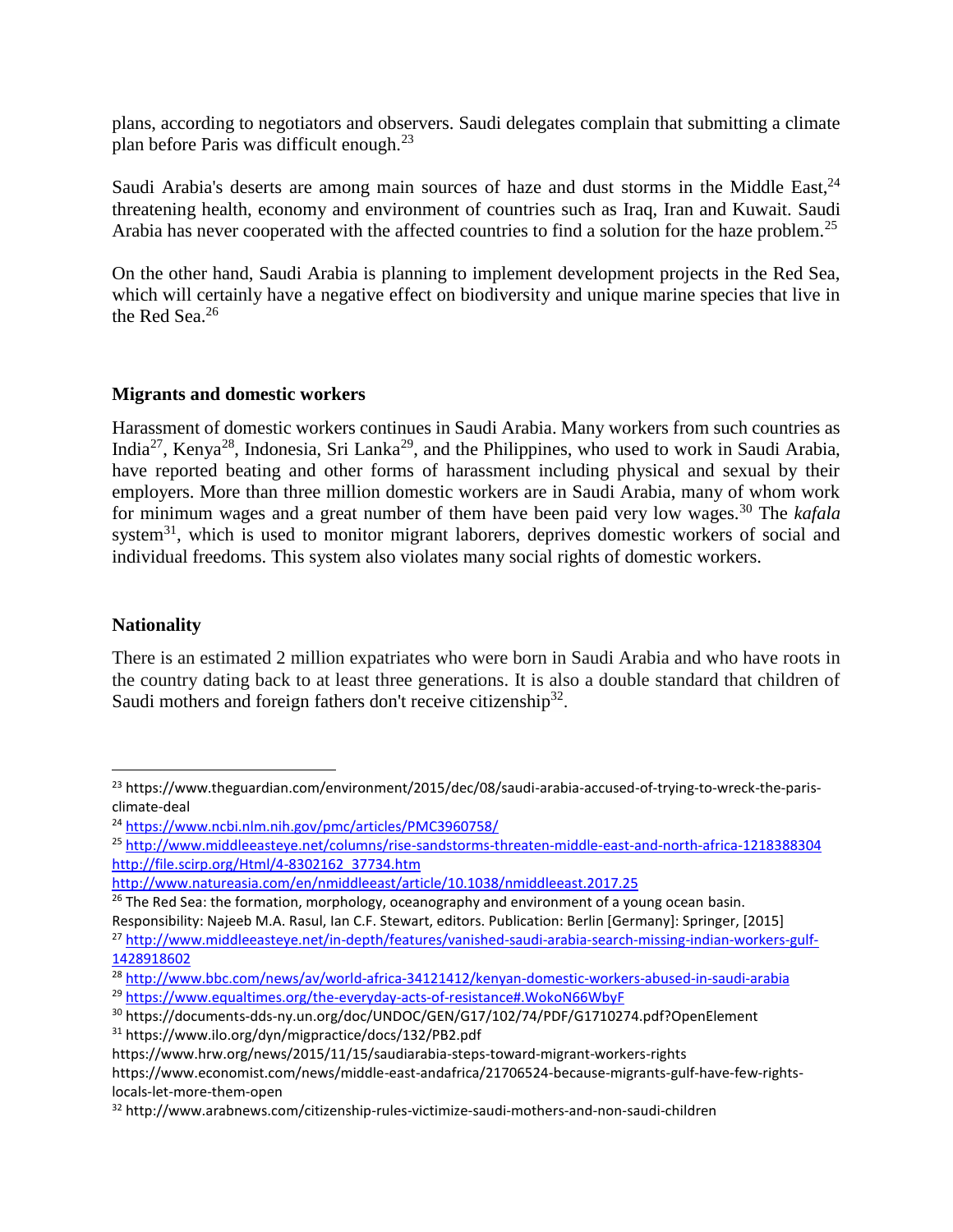plans, according to negotiators and observers. Saudi delegates complain that submitting a climate plan before Paris was difficult enough.<sup>23</sup>

Saudi Arabia's deserts are among main sources of haze and dust storms in the Middle East,  $24$ threatening health, economy and environment of countries such as Iraq, Iran and Kuwait. Saudi Arabia has never cooperated with the affected countries to find a solution for the haze problem.<sup>25</sup>

On the other hand, Saudi Arabia is planning to implement development projects in the Red Sea, which will certainly have a negative effect on biodiversity and unique marine species that live in the Red Sea.<sup>26</sup>

## **Migrants and domestic workers**

Harassment of domestic workers continues in Saudi Arabia. Many workers from such countries as India<sup>27</sup>, Kenya<sup>28</sup>, Indonesia, Sri Lanka<sup>29</sup>, and the Philippines, who used to work in Saudi Arabia, have reported beating and other forms of harassment including physical and sexual by their employers. More than three million domestic workers are in Saudi Arabia, many of whom work for minimum wages and a great number of them have been paid very low wages.<sup>30</sup> The *kafala* system<sup>31</sup>, which is used to monitor migrant laborers, deprives domestic workers of social and individual freedoms. This system also violates many social rights of domestic workers.

# **Nationality**

 $\overline{\phantom{a}}$ 

There is an estimated 2 million expatriates who were born in Saudi Arabia and who have roots in the country dating back to at least three generations. It is also a double standard that children of Saudi mothers and foreign fathers don't receive citizenship<sup>32</sup>.

<https://www.hrw.org/news/2015/11/15/saudiarabia-steps-toward-migrant-workers-rights> [https://www.economist.com/news/middle-east-andafrica/21706524-because-migrants-gulf-have-few-rights](https://www.economist.com/news/middle-east-andafrica/21706524-because-migrants-gulf-have-few-rights-locals-let-more-them-open)[locals-let-more-them-open](https://www.economist.com/news/middle-east-andafrica/21706524-because-migrants-gulf-have-few-rights-locals-let-more-them-open)

<sup>&</sup>lt;sup>23</sup> https://www.theguardian.com/environment/2015/dec/08/saudi-arabia-accused-of-trying-to-wreck-the-parisclimate-deal

<sup>24</sup> <https://www.ncbi.nlm.nih.gov/pmc/articles/PMC3960758/>

<sup>25</sup> <http://www.middleeasteye.net/columns/rise-sandstorms-threaten-middle-east-and-north-africa-1218388304> [http://file.scirp.org/Html/4-8302162\\_37734.htm](http://file.scirp.org/Html/4-8302162_37734.htm)

<http://www.natureasia.com/en/nmiddleeast/article/10.1038/nmiddleeast.2017.25>

<sup>&</sup>lt;sup>26</sup> The Red Sea: the formation, morphology, oceanography and environment of a young ocean basin.

Responsibility: Najeeb M.A. Rasul, Ian C.F. Stewart, editors. Publication: Berlin [Germany]: Springer, [2015]

<sup>27</sup> [http://www.middleeasteye.net/in-depth/features/vanished-saudi-arabia-search-missing-indian-workers-gulf-](http://www.middleeasteye.net/in-depth/features/vanished-saudi-arabia-search-missing-indian-workers-gulf-1428918602)[1428918602](http://www.middleeasteye.net/in-depth/features/vanished-saudi-arabia-search-missing-indian-workers-gulf-1428918602)

<sup>28</sup> <http://www.bbc.com/news/av/world-africa-34121412/kenyan-domestic-workers-abused-in-saudi-arabia> <sup>29</sup> <https://www.equaltimes.org/the-everyday-acts-of-resistance#.WokoN66WbyF>

<sup>30</sup> <https://documents-dds-ny.un.org/doc/UNDOC/GEN/G17/102/74/PDF/G1710274.pdf?OpenElement> <sup>31</sup> <https://www.ilo.org/dyn/migpractice/docs/132/PB2.pdf>

<sup>32</sup> http://www.arabnews.com/citizenship-rules-victimize-saudi-mothers-and-non-saudi-children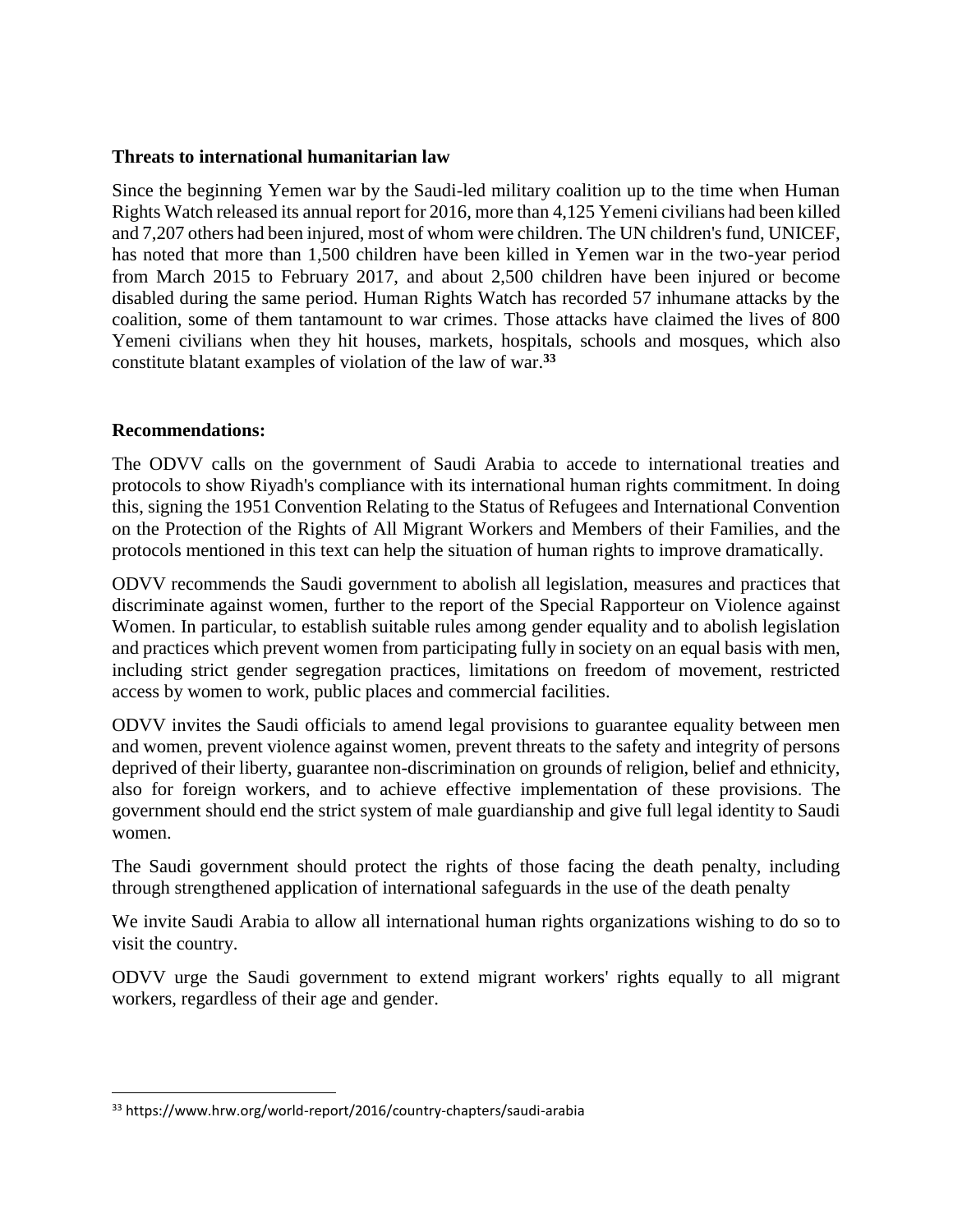#### **Threats to international humanitarian law**

Since the beginning Yemen war by the Saudi-led military coalition up to the time when Human Rights Watch released its annual report for 2016, more than 4,125 Yemeni civilians had been killed and 7,207 others had been injured, most of whom were children. The UN children's fund, UNICEF, has noted that more than 1,500 children have been killed in Yemen war in the two-year period from March 2015 to February 2017, and about 2,500 children have been injured or become disabled during the same period. Human Rights Watch has recorded 57 inhumane attacks by the coalition, some of them tantamount to war crimes. Those attacks have claimed the lives of 800 Yemeni civilians when they hit houses, markets, hospitals, schools and mosques, which also constitute blatant examples of violation of the law of war.**<sup>33</sup>**

## **Recommendations:**

 $\overline{a}$ 

The ODVV calls on the government of Saudi Arabia to accede to international treaties and protocols to show Riyadh's compliance with its international human rights commitment. In doing this, signing the 1951 Convention Relating to the Status of Refugees and International Convention on the Protection of the Rights of All Migrant Workers and Members of their Families, and the protocols mentioned in this text can help the situation of human rights to improve dramatically.

ODVV recommends the Saudi government to abolish all legislation, measures and practices that discriminate against women, further to the report of the Special Rapporteur on Violence against Women. In particular, to establish suitable rules among gender equality and to abolish legislation and practices which prevent women from participating fully in society on an equal basis with men, including strict gender segregation practices, limitations on freedom of movement, restricted access by women to work, public places and commercial facilities.

ODVV invites the Saudi officials to amend legal provisions to guarantee equality between men and women, prevent violence against women, prevent threats to the safety and integrity of persons deprived of their liberty, guarantee non-discrimination on grounds of religion, belief and ethnicity, also for foreign workers, and to achieve effective implementation of these provisions. The government should end the strict system of male guardianship and give full legal identity to Saudi women.

The Saudi government should protect the rights of those facing the death penalty, including through strengthened application of international safeguards in the use of the death penalty

We invite Saudi Arabia to allow all international human rights organizations wishing to do so to visit the country.

ODVV urge the Saudi government to extend migrant workers' rights equally to all migrant workers, regardless of their age and gender.

<sup>33</sup> <https://www.hrw.org/world-report/2016/country-chapters/saudi-arabia>